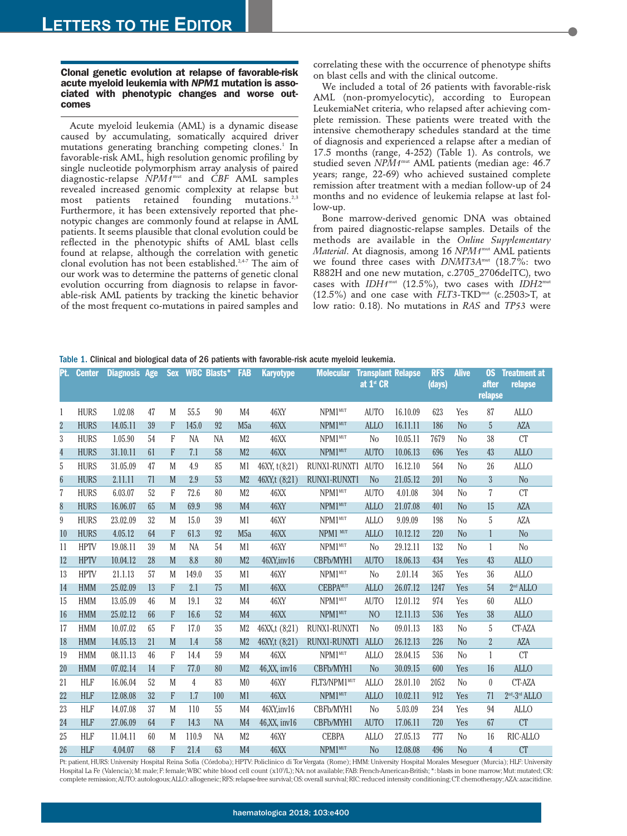## **Clonal genetic evolution at relapse of favorable-risk acute myeloid leukemia with** *NPM1* **mutation is associated with phenotypic changes and worse outcomes**

Acute myeloid leukemia (AML) is a dynamic disease caused by accumulating, somatically acquired driver mutations generating branching competing clones.<sup>1</sup> In favorable-risk AML, high resolution genomic profiling by single nucleotide polymorphism array analysis of paired diagnostic-relapse *NPM1*mut and *CBF* AML samples revealed increased genomic complexity at relapse but most patients retained founding mutations. $^{2,3}$ Furthermore, it has been extensively reported that phenotypic changes are commonly found at relapse in AML patients. It seems plausible that clonal evolution could be reflected in the phenotypic shifts of AML blast cells found at relapse, although the correlation with genetic clonal evolution has not been established.<sup>2,4-7</sup> The aim of our work was to determine the patterns of genetic clonal evolution occurring from diagnosis to relapse in favorable-risk AML patients by tracking the kinetic behavior of the most frequent co-mutations in paired samples and

correlating these with the occurrence of phenotype shifts on blast cells and with the clinical outcome.

We included a total of 26 patients with favorable-risk AML (non-promyelocytic), according to European LeukemiaNet criteria, who relapsed after achieving complete remission. These patients were treated with the intensive chemotherapy schedules standard at the time of diagnosis and experienced a relapse after a median of 17.5 months (range, 4-252) (Table 1). As controls, we studied seven *NPM1*mut AML patients (median age: 46.7 years; range, 22-69) who achieved sustained complete remission after treatment with a median follow-up of 24 months and no evidence of leukemia relapse at last follow-up.

Bone marrow-derived genomic DNA was obtained from paired diagnostic-relapse samples. Details of the methods are available in the *Online Supplementary Material*. At diagnosis, among 16 *NPM1*mut AML patients we found three cases with *DNMT3A*mut (18.7%: two R882H and one new mutation, c.2705\_2706delTC), two cases with *IDH1*mut (12.5%), two cases with *IDH2*mut (12.5%) and one case with *FLT3-*TKDmut (c.2503>T, at low ratio: 0.18). No mutations in *RAS* and *TP53* were

|  |  |  | Table 1. Clinical and biological data of 26 patients with favorable-risk acute myeloid leukemia. |  |
|--|--|--|--------------------------------------------------------------------------------------------------|--|
|  |  |  |                                                                                                  |  |

| Pt.             | <b>Center</b> | <b>Diagnosis Age</b> |    | <b>Sex</b> |                | <b>WBC Blasts*</b> | <b>FAB</b>       | <b>Karyotype</b> | <b>Molecular</b>    | <b>Transplant Relapse</b><br>at 1 <sup>st</sup> CR |          | <b>RFS</b><br>(days) | <b>Alive</b>   | <b>OS</b><br>after<br>relapse | <b>Treatment at</b><br>relapse |
|-----------------|---------------|----------------------|----|------------|----------------|--------------------|------------------|------------------|---------------------|----------------------------------------------------|----------|----------------------|----------------|-------------------------------|--------------------------------|
| 1               | <b>HURS</b>   | 1.02.08              | 47 | M          | 55.5           | 90                 | M <sub>4</sub>   | 46XY             | NPM1 <sup>MUT</sup> | <b>AUTO</b>                                        | 16.10.09 | 623                  | Yes            | 87                            | <b>ALLO</b>                    |
| $\overline{2}$  | <b>HURS</b>   | 14.05.11             | 39 | F          | 145.0          | 92                 | M <sub>5</sub> a | <b>46XX</b>      | NPM1 <sup>MUT</sup> | <b>ALLO</b>                                        | 16.11.11 | 186                  | N <sub>o</sub> | 5                             | AZA                            |
| 3               | <b>HURS</b>   | 1.05.90              | 54 | F          | NA             | NA                 | M <sub>2</sub>   | <b>46XX</b>      | NPM1MUT             | N <sub>o</sub>                                     | 10.05.11 | 7679                 | N <sub>0</sub> | 38                            | <b>CT</b>                      |
| $\overline{4}$  | <b>HURS</b>   | 31.10.11             | 61 | F          | 7.1            | 58                 | M <sub>2</sub>   | <b>46XX</b>      | NPM1 <sup>MUT</sup> | <b>AUTO</b>                                        | 10.06.13 | 696                  | Yes            | 43                            | <b>ALLO</b>                    |
| 5               | <b>HURS</b>   | 31.05.09             | 47 | M          | 4.9            | 85                 | M1               | 46XY, t(8;21)    | RUNX1-RUNXT1        | <b>AUTO</b>                                        | 16.12.10 | 564                  | N <sub>0</sub> | 26                            | <b>ALLO</b>                    |
| $6\phantom{.}6$ | <b>HURS</b>   | 2.11.11              | 71 | M          | 2.9            | 53                 | M <sub>2</sub>   | 46XY,t (8:21)    | RUNX1-RUNXT1        | <b>No</b>                                          | 21.05.12 | 201                  | N <sub>o</sub> | $\overline{3}$                | N <sub>o</sub>                 |
| 7               | <b>HURS</b>   | 6.03.07              | 52 | F          | 72.6           | 80                 | M <sub>2</sub>   | 46XX             | NPM1MUT             | <b>AUTO</b>                                        | 4.01.08  | 304                  | N <sub>0</sub> | $\overline{7}$                | <b>CT</b>                      |
| 8               | <b>HURS</b>   | 16.06.07             | 65 | M          | 69.9           | 98                 | M <sub>4</sub>   | <b>46XY</b>      | NPM1 <sup>MUT</sup> | <b>ALLO</b>                                        | 21.07.08 | 401                  | N <sub>o</sub> | 15                            | <b>AZA</b>                     |
| 9               | <b>HURS</b>   | 23.02.09             | 32 | M          | 15.0           | 39                 | M1               | 46XY             | NPM1MUT             | <b>ALLO</b>                                        | 9.09.09  | 198                  | N <sub>0</sub> | 5                             | AZA                            |
| 10              | <b>HURS</b>   | 4.05.12              | 64 | F          | 61.3           | 92                 | M <sub>5</sub> a | <b>46XX</b>      | NPM1 MUT            | <b>ALLO</b>                                        | 10.12.12 | 220                  | N <sub>o</sub> | 1                             | N <sub>o</sub>                 |
| 11              | <b>HPTV</b>   | 19.08.11             | 39 | M          | <b>NA</b>      | 54                 | M1               | 46XY             | NPM1MUT             | N <sub>0</sub>                                     | 29.12.11 | 132                  | No             | 1                             | N <sub>o</sub>                 |
| 12              | <b>HPTV</b>   | 10.04.12             | 28 | M          | 8.8            | 80                 | M <sub>2</sub>   | 46XY, inv16      | CBFb/MYH1           | <b>AUTO</b>                                        | 18.06.13 | 434                  | Yes            | 43                            | <b>ALLO</b>                    |
| 13              | <b>HPTV</b>   | 21.1.13              | 57 | M          | 149.0          | 35                 | M1               | 46XY             | NPM1MUT             | N <sub>o</sub>                                     | 2.01.14  | 365                  | Yes            | 36                            | <b>ALLO</b>                    |
| 14              | <b>HMM</b>    | 25.02.09             | 13 | F          | 2.1            | 75                 | M1               | <b>46XX</b>      | <b>CEBPAMUT</b>     | <b>ALLO</b>                                        | 26.07.12 | 1247                 | Yes            | 54                            | 2 <sup>nd</sup> ALLO           |
| 15              | <b>HMM</b>    | 13.05.09             | 46 | M          | 19.1           | 32                 | M <sub>4</sub>   | 46XY             | NPM1 <sup>MUT</sup> | <b>AUTO</b>                                        | 12.01.12 | 974                  | Yes            | 60                            | <b>ALLO</b>                    |
| 16              | <b>HMM</b>    | 25.02.12             | 66 | F          | 16.6           | 52                 | M <sub>4</sub>   | <b>46XX</b>      | NPM1 <sup>MUT</sup> | N <sub>O</sub>                                     | 12.11.13 | 536                  | Yes            | 38                            | <b>ALLO</b>                    |
| 17              | <b>HMM</b>    | 10.07.02             | 65 | F          | 17.0           | 35                 | M <sub>2</sub>   | 46XX,t (8;21)    | RUNX1-RUNXT1        | N <sub>o</sub>                                     | 09.01.13 | 183                  | No             | 5                             | CT-AZA                         |
| 18              | <b>HMM</b>    | 14.05.13             | 21 | M          | 1.4            | 58                 | M <sub>2</sub>   | 46XY,t (8;21)    | RUNX1-RUNXT1        | <b>ALLO</b>                                        | 26.12.13 | 226                  | N <sub>o</sub> | $\overline{2}$                | AZA                            |
| 19              | <b>HMM</b>    | 08.11.13             | 46 | F          | 14.4           | 59                 | M <sub>4</sub>   | <b>46XX</b>      | NPM1 <sup>MUT</sup> | <b>ALLO</b>                                        | 28.04.15 | 536                  | N <sub>0</sub> | $\mathbf{1}$                  | <b>CT</b>                      |
| 20              | <b>HMM</b>    | 07.02.14             | 14 | F          | 77.0           | 80                 | M <sub>2</sub>   | 46, XX, inv16    | CBFb/MYH1           | N <sub>o</sub>                                     | 30.09.15 | 600                  | Yes            | 16                            | <b>ALLO</b>                    |
| 21              | <b>HLF</b>    | 16.06.04             | 52 | M          | $\overline{4}$ | 83                 | M <sub>0</sub>   | 46XY             | FLT3/NPM1MUT        | <b>ALLO</b>                                        | 28.01.10 | 2052                 | N <sub>0</sub> | $\mathbf{0}$                  | CT-AZA                         |
| $22\,$          | <b>HLF</b>    | 12.08.08             | 32 | F          | 1.7            | 100                | M1               | <b>46XX</b>      | NPM1MUT             | <b>ALLO</b>                                        | 10.02.11 | 912                  | Yes            | 71                            | $2^{nd} - 3^{rd}$ ALLO         |
| 23              | <b>HLF</b>    | 14.07.08             | 37 | M          | 110            | 55                 | M <sub>4</sub>   | 46XY, inv16      | CBFb/MYH1           | N <sub>o</sub>                                     | 5.03.09  | 234                  | Yes            | 94                            | <b>ALLO</b>                    |
| 24              | <b>HLF</b>    | 27.06.09             | 64 | F          | 14.3           | <b>NA</b>          | M <sub>4</sub>   | 46, XX, inv16    | CBFb/MYH1           | <b>AUTO</b>                                        | 17.06.11 | 720                  | Yes            | 67                            | <b>CT</b>                      |
| 25              | <b>HLF</b>    | 11.04.11             | 60 | M          | 110.9          | <b>NA</b>          | M <sub>2</sub>   | 46XY             | <b>CEBPA</b>        | <b>ALLO</b>                                        | 27.05.13 | 777                  | N <sub>o</sub> | 16                            | RIC-ALLO                       |
| 26              | <b>HLF</b>    | 4.04.07              | 68 | F          | 21.4           | 63                 | M <sub>4</sub>   | <b>46XX</b>      | NPM1MUT             | N <sub>o</sub>                                     | 12.08.08 | 496                  | N <sub>o</sub> | 4                             | <b>CT</b>                      |

Pt: patient, HURS: University Hospital Reina Sofía (Córdoba); HPTV: Policlinico di Tor Vergata (Rome); HMM: University Hospital Morales Meseguer (Murcia); HLF: University Hospital La Fe (Valencia); M: male; F: female;WBC white blood cell count (x10%), NA: not available; FAB: French-American-British; \*: blasts in bone marrow; Mut: mutated; CR: complete remission; AUTO: autologous; ALLO: allogeneic; RFS: relapse-free survival; OS: overall survival; RIC: reduced intensity conditioning; CT: chemotherapy; AZA: azacitidine.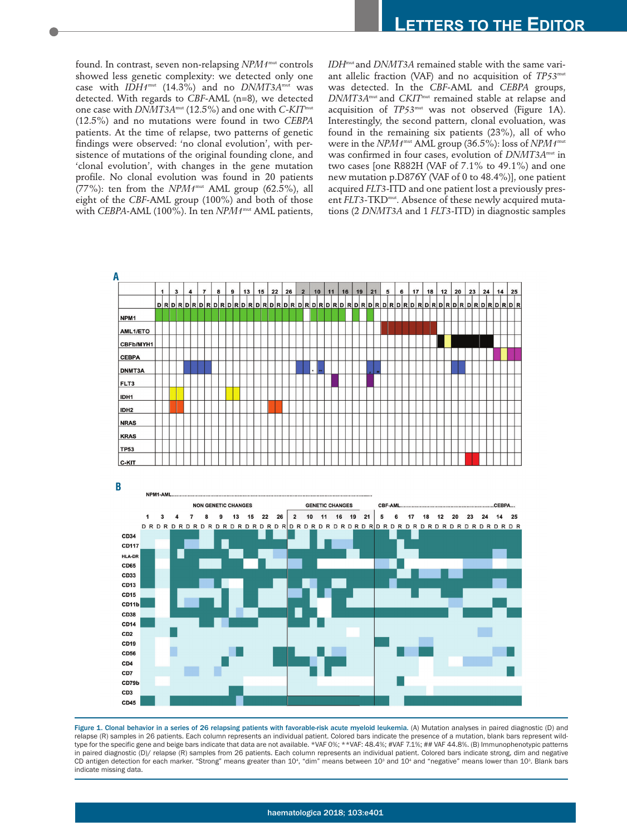found. In contrast, seven non-relapsing *NPM1*<sup>mut</sup> controls showed less genetic complexity: we detected only one case with *IDH1*mut (14.3%) and no *DNMT3A*mut was detected. With regards to *CBF*-AML (n=8), we detected one case with *DNMT3A*mut (12.5%) and one with *C-KIT*mut (12.5%) and no mutations were found in two *CEBPA* patients. At the time of relapse, two patterns of genetic findings were observed: 'no clonal evolution', with persistence of mutations of the original founding clone, and 'clonal evolution', with changes in the gene mutation profile. No clonal evolution was found in 20 patients (77%): ten from the  $NPM1^{mut}$  AML group (62.5%), all eight of the *CBF*-AML group (100%) and both of those with *CEBPA*-AML (100%). In ten *NPM1*mut AML patients, *IDH*mut and *DNMT3A* remained stable with the same variant allelic fraction (VAF) and no acquisition of *TP53*mut was detected. In the *CBF*-AML and *CEBPA* groups, *DNMT3A*mut and *CKIT*mut remained stable at relapse and acquisition of *TP53*mut was not observed (Figure 1A). Interestingly, the second pattern, clonal evoluation, was found in the remaining six patients (23%), all of who were in the *NPM1*mut AML group (36.5%): loss of *NPM1*mut was confirmed in four cases, evolution of *DNMT3A*mut in two cases [one R882H (VAF of 7.1% to 49.1%) and one new mutation p.D876Y (VAF of 0 to 48.4%)], one patient acquired *FLT3*-ITD and one patient lost a previously present *FLT3*-TKD<sup>mut</sup>. Absence of these newly acquired mutations (2 *DNMT3A* and 1 *FLT3-*ITD) in diagnostic samples



Figure 1. Clonal behavior in a series of 26 relapsing patients with favorable-risk acute myeloid leukemia. (A) Mutation analyses in paired diagnostic (D) and relapse (R) samples in 26 patients. Each column represents an individual patient. Colored bars indicate the presence of a mutation, blank bars represent wildtype for the specific gene and beige bars indicate that data are not available. \*VAF 0%; \*\*VAF: 48.4%; #VAF 7.1%; ## VAF 44.8%. (B) Immunophenotypic patterns in paired diagnostic (D)/ relapse (R) samples from 26 patients. Each column represents an individual patient. Colored bars indicate strong, dim and negative CD antigen detection for each marker. "Strong" means greater than 10<sup>4</sup>, "dim" means between 10<sup>3</sup> and 10<sup>4</sup> and "negative" means lower than 10<sup>3</sup>. Blank bars indicate missing data.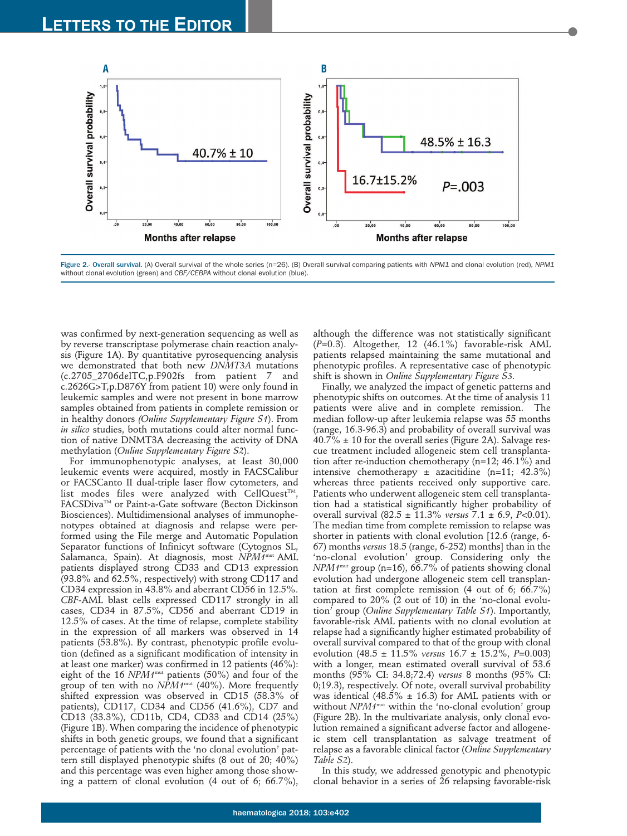

Figure 2.- Overall survival. (A) Overall survival of the whole series (n=26). (B) Overall survival comparing patients with *NPM1* and clonal evolution (red), *NPM1* without clonal evolution (green) and *CBF/CEBPA* without clonal evolution (blue).

was confirmed by next-generation sequencing as well as by reverse transcriptase polymerase chain reaction analysis (Figure 1A). By quantitative pyrosequencing analysis we demonstrated that both new *DNMT3A* mutations (c.2705\_2706delTC,p.F902fs from patient 7 and c.2626G>T,p.D876Y from patient 10) were only found in leukemic samples and were not present in bone marrow samples obtained from patients in complete remission or in healthy donors *(Online Supplementary Figure S1*). From *in silico* studies, both mutations could alter normal function of native DNMT3A decreasing the activity of DNA methylation (*Online Supplementary Figure S2*).

For immunophenotypic analyses, at least 30,000 leukemic events were acquired, mostly in FACSCalibur or FACSCanto II dual-triple laser flow cytometers, and list modes files were analyzed with CellQuest<sup>TM</sup>, FACSDiva™ or Paint-a-Gate software (Becton Dickinson Biosciences). Multidimensional analyses of immunophenotypes obtained at diagnosis and relapse were performed using the File merge and Automatic Population Separator functions of Infinicyt software (Cytognos SL, Salamanca, Spain). At diagnosis, most *NPM1*mut AML patients displayed strong CD33 and CD13 expression (93.8% and 62.5%, respectively) with strong CD117 and CD34 expression in 43.8% and aberrant CD56 in 12.5%. *CBF-*AML blast cells expressed CD117 strongly in all cases, CD34 in 87.5%, CD56 and aberrant CD19 in 12.5% of cases. At the time of relapse, complete stability in the expression of all markers was observed in 14 patients (53.8%). By contrast, phenotypic profile evolution (defined as a significant modification of intensity in at least one marker) was confirmed in 12 patients (46%): eight of the 16 *NPM1*mut patients (50%) and four of the group of ten with no  $NPM1^{mut}$  (40%). More frequently shifted expression was observed in CD15 (58.3% of patients), CD117, CD34 and CD56 (41.6%), CD7 and CD13 (33.3%), CD11b, CD4, CD33 and CD14 (25%) (Figure 1B). When comparing the incidence of phenotypic shifts in both genetic groups, we found that a significant percentage of patients with the 'no clonal evolution' pattern still displayed phenotypic shifts (8 out of 20; 40%) and this percentage was even higher among those showing a pattern of clonal evolution (4 out of 6; 66.7%),

although the difference was not statistically significant (*P*=0.3). Altogether, 12 (46.1%) favorable-risk AML patients relapsed maintaining the same mutational and phenotypic profiles. A representative case of phenotypic shift is shown in *Online Supplementary Figure S3.*

Finally, we analyzed the impact of genetic patterns and phenotypic shifts on outcomes. At the time of analysis 11 patients were alive and in complete remission. The median follow-up after leukemia relapse was 55 months (range, 16.3-96.3) and probability of overall survival was  $40.7\% \pm 10$  for the overall series (Figure 2A). Salvage rescue treatment included allogeneic stem cell transplantation after re-induction chemotherapy (n=12; 46.1%) and intensive chemotherapy  $\pm$  azacitidine (n=11; 42.3%) whereas three patients received only supportive care. Patients who underwent allogeneic stem cell transplantation had a statistical significantly higher probability of overall survival (82.5 ± 11.3% *versus* 7.1 ± 6.9, *P*<0.01). The median time from complete remission to relapse was shorter in patients with clonal evolution [12.6 (range, 6- 67) months *versus* 18.5 (range, 6-252) months] than in the 'no-clonal evolution' group. Considering only the *NPM1*mut group (n=16), 66.7% of patients showing clonal evolution had undergone allogeneic stem cell transplantation at first complete remission (4 out of 6; 66.7%) compared to 20% (2 out of 10) in the 'no-clonal evolution' group (*Online Supplementary Table S1*). Importantly, favorable-risk AML patients with no clonal evolution at relapse had a significantly higher estimated probability of overall survival compared to that of the group with clonal evolution (48.5 ± 11.5% *versus* 16.7 ± 15.2%, *P=*0.003) with a longer, mean estimated overall survival of 53.6 months (95% CI: 34.8;72.4) *versus* 8 months (95% CI: 0;19.3), respectively. Of note, overall survival probability was identical (48.5%  $\pm$  16.3) for AML patients with or without *NPM1*mut within the 'no-clonal evolution' group (Figure 2B). In the multivariate analysis, only clonal evolution remained a significant adverse factor and allogeneic stem cell transplantation as salvage treatment of relapse as a favorable clinical factor (*Online Supplementary Table S2*).

In this study, we addressed genotypic and phenotypic clonal behavior in a series of 26 relapsing favorable-risk